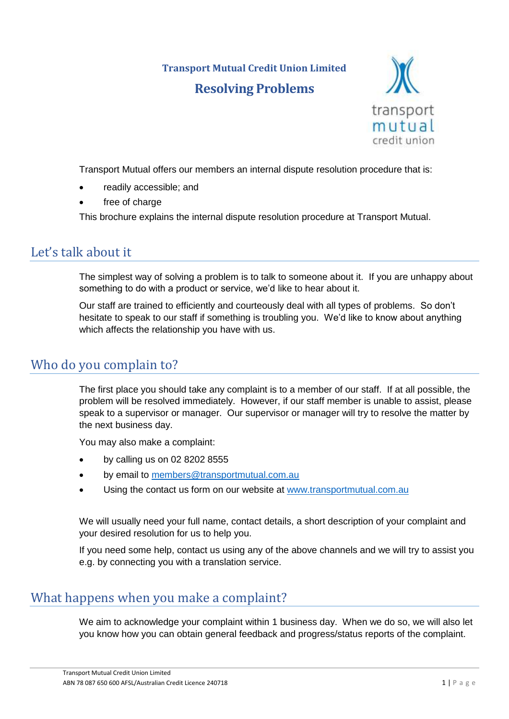# **Transport Mutual Credit Union Limited Resolving Problems**



Transport Mutual offers our members an internal dispute resolution procedure that is:

- readily accessible; and
- free of charge

This brochure explains the internal dispute resolution procedure at Transport Mutual.

## Let's talk about it

The simplest way of solving a problem is to talk to someone about it. If you are unhappy about something to do with a product or service, we'd like to hear about it.

Our staff are trained to efficiently and courteously deal with all types of problems. So don't hesitate to speak to our staff if something is troubling you. We'd like to know about anything which affects the relationship you have with us.

## Who do you complain to?

The first place you should take any complaint is to a member of our staff. If at all possible, the problem will be resolved immediately. However, if our staff member is unable to assist, please speak to a supervisor or manager. Our supervisor or manager will try to resolve the matter by the next business day.

You may also make a complaint:

- by calling us on 02 8202 8555
- by email to [members@transportmutual.com.au](mailto:members@transportmutual.com.au)
- Using the contact us form on our website at [www.transportmutual.com.au](http://www.transportmutual.com.au/)

We will usually need your full name, contact details, a short description of your complaint and your desired resolution for us to help you.

If you need some help, contact us using any of the above channels and we will try to assist you e.g. by connecting you with a translation service.

## What happens when you make a complaint?

We aim to acknowledge your complaint within 1 business day. When we do so, we will also let you know how you can obtain general feedback and progress/status reports of the complaint.